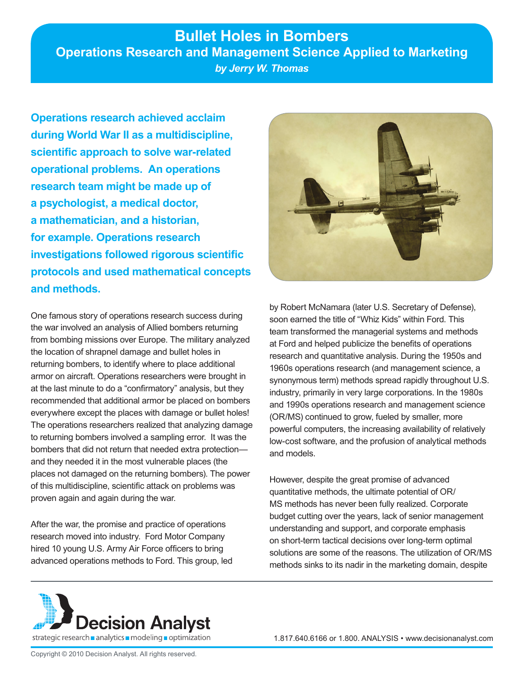# **Bullet Holes in Bombers Operations Research and Management Science Applied to Marketing** *by Jerry W. Thomas*

**Operations research achieved acclaim during World War II as a multidiscipline, scientific approach to solve war-related operational problems. An operations research team might be made up of a psychologist, a medical doctor, a mathematician, and a historian, for example. Operations research investigations followed rigorous scientific protocols and used mathematical concepts and methods.** 

One famous story of operations research success during the war involved an analysis of Allied bombers returning from bombing missions over Europe. The military analyzed the location of shrapnel damage and bullet holes in returning bombers, to identify where to place additional armor on aircraft. Operations researchers were brought in at the last minute to do a "confirmatory" analysis, but they recommended that additional armor be placed on bombers everywhere except the places with damage or bullet holes! The operations researchers realized that analyzing damage to returning bombers involved a sampling error. It was the bombers that did not return that needed extra protection and they needed it in the most vulnerable places (the places not damaged on the returning bombers). The power of this multidiscipline, scientific attack on problems was proven again and again during the war.

After the war, the promise and practice of operations research moved into industry. Ford Motor Company hired 10 young U.S. Army Air Force officers to bring advanced operations methods to Ford. This group, led



by Robert McNamara (later U.S. Secretary of Defense), soon earned the title of "Whiz Kids" within Ford. This team transformed the managerial systems and methods at Ford and helped publicize the benefits of operations research and quantitative analysis. During the 1950s and 1960s operations research (and management science, a synonymous term) methods spread rapidly throughout U.S. industry, primarily in very large corporations. In the 1980s and 1990s operations research and management science (OR/MS) continued to grow, fueled by smaller, more powerful computers, the increasing availability of relatively low-cost software, and the profusion of analytical methods and models.

However, despite the great promise of advanced quantitative methods, the ultimate potential of OR/ MS methods has never been fully realized. Corporate budget cutting over the years, lack of senior management understanding and support, and corporate emphasis on short-term tactical decisions over long-term optimal solutions are some of the reasons. The utilization of OR/MS methods sinks to its nadir in the marketing domain, despite

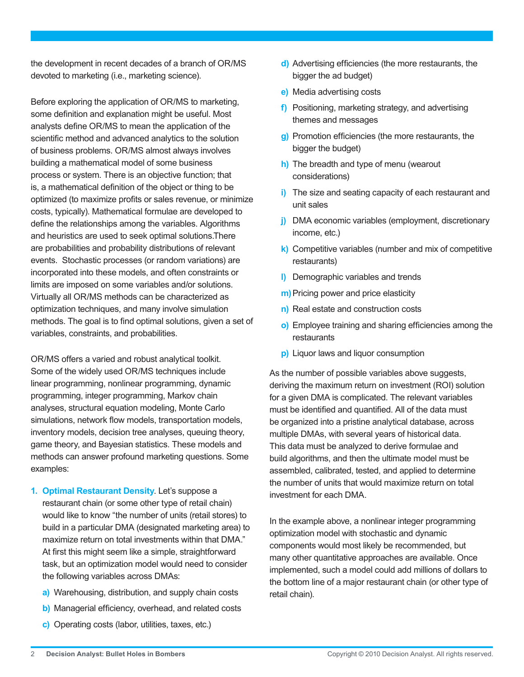the development in recent decades of a branch of OR/MS devoted to marketing (i.e., marketing science).

Before exploring the application of OR/MS to marketing, some definition and explanation might be useful. Most analysts define OR/MS to mean the application of the scientific method and advanced analytics to the solution of business problems. OR/MS almost always involves building a mathematical model of some business process or system. There is an objective function; that is, a mathematical definition of the object or thing to be optimized (to maximize profits or sales revenue, or minimize costs, typically). Mathematical formulae are developed to define the relationships among the variables. Algorithms and heuristics are used to seek optimal solutions.There are probabilities and probability distributions of relevant events. Stochastic processes (or random variations) are incorporated into these models, and often constraints or limits are imposed on some variables and/or solutions. Virtually all OR/MS methods can be characterized as optimization techniques, and many involve simulation methods. The goal is to find optimal solutions, given a set of variables, constraints, and probabilities.

OR/MS offers a varied and robust analytical toolkit. Some of the widely used OR/MS techniques include linear programming, nonlinear programming, dynamic programming, integer programming, Markov chain analyses, structural equation modeling, Monte Carlo simulations, network flow models, transportation models, inventory models, decision tree analyses, queuing theory, game theory, and Bayesian statistics. These models and methods can answer profound marketing questions. Some examples:

- **1. Optimal Restaurant Density**. Let's suppose a restaurant chain (or some other type of retail chain) would like to know "the number of units (retail stores) to build in a particular DMA (designated marketing area) to maximize return on total investments within that DMA." At first this might seem like a simple, straightforward task, but an optimization model would need to consider the following variables across DMAs:
	- **a)** Warehousing, distribution, and supply chain costs
	- **b)** Managerial efficiency, overhead, and related costs
	- **c)** Operating costs (labor, utilities, taxes, etc.)
- **d)** Advertising efficiencies (the more restaurants, the bigger the ad budget)
- **e)** Media advertising costs
- **f)** Positioning, marketing strategy, and advertising themes and messages
- **g)** Promotion efficiencies (the more restaurants, the bigger the budget)
- **h)** The breadth and type of menu (wearout considerations)
- **i)** The size and seating capacity of each restaurant and unit sales
- **j)** DMA economic variables (employment, discretionary income, etc.)
- **k)** Competitive variables (number and mix of competitive restaurants)
- **l)** Demographic variables and trends
- **m)** Pricing power and price elasticity
- **n)** Real estate and construction costs
- **o)** Employee training and sharing efficiencies among the restaurants
- **p)** Liquor laws and liquor consumption

As the number of possible variables above suggests, deriving the maximum return on investment (ROI) solution for a given DMA is complicated. The relevant variables must be identified and quantified. All of the data must be organized into a pristine analytical database, across multiple DMAs, with several years of historical data. This data must be analyzed to derive formulae and build algorithms, and then the ultimate model must be assembled, calibrated, tested, and applied to determine the number of units that would maximize return on total investment for each DMA.

In the example above, a nonlinear integer programming optimization model with stochastic and dynamic components would most likely be recommended, but many other quantitative approaches are available. Once implemented, such a model could add millions of dollars to the bottom line of a major restaurant chain (or other type of retail chain).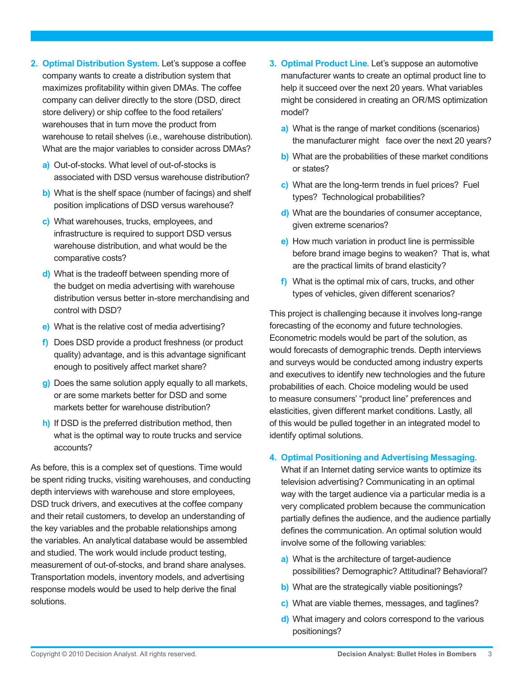- **2. Optimal Distribution System**. Let's suppose a coffee company wants to create a distribution system that maximizes profitability within given DMAs. The coffee company can deliver directly to the store (DSD, direct store delivery) or ship coffee to the food retailers' warehouses that in turn move the product from warehouse to retail shelves (i.e., warehouse distribution). What are the major variables to consider across DMAs?
	- **a)** Out-of-stocks. What level of out-of-stocks is associated with DSD versus warehouse distribution?
	- **b)** What is the shelf space (number of facings) and shelf position implications of DSD versus warehouse?
	- **c)** What warehouses, trucks, employees, and infrastructure is required to support DSD versus warehouse distribution, and what would be the comparative costs?
	- **d)** What is the tradeoff between spending more of the budget on media advertising with warehouse distribution versus better in-store merchandising and control with DSD?
	- **e)** What is the relative cost of media advertising?
	- **f)** Does DSD provide a product freshness (or product quality) advantage, and is this advantage significant enough to positively affect market share?
	- **g)** Does the same solution apply equally to all markets, or are some markets better for DSD and some markets better for warehouse distribution?
	- **h)** If DSD is the preferred distribution method, then what is the optimal way to route trucks and service accounts?

As before, this is a complex set of questions. Time would be spent riding trucks, visiting warehouses, and conducting depth interviews with warehouse and store employees, DSD truck drivers, and executives at the coffee company and their retail customers, to develop an understanding of the key variables and the probable relationships among the variables. An analytical database would be assembled and studied. The work would include product testing, measurement of out-of-stocks, and brand share analyses. Transportation models, inventory models, and advertising response models would be used to help derive the final solutions.

- **3. Optimal Product Line**. Let's suppose an automotive manufacturer wants to create an optimal product line to help it succeed over the next 20 years. What variables might be considered in creating an OR/MS optimization model?
	- **a)** What is the range of market conditions (scenarios) the manufacturer might face over the next 20 years?
	- **b)** What are the probabilities of these market conditions or states?
	- **c)** What are the long-term trends in fuel prices? Fuel types? Technological probabilities?
	- **d)** What are the boundaries of consumer acceptance, given extreme scenarios?
	- **e)** How much variation in product line is permissible before brand image begins to weaken? That is, what are the practical limits of brand elasticity?
	- **f)** What is the optimal mix of cars, trucks, and other types of vehicles, given different scenarios?

This project is challenging because it involves long-range forecasting of the economy and future technologies. Econometric models would be part of the solution, as would forecasts of demographic trends. Depth interviews and surveys would be conducted among industry experts and executives to identify new technologies and the future probabilities of each. Choice modeling would be used to measure consumers' "product line" preferences and elasticities, given different market conditions. Lastly, all of this would be pulled together in an integrated model to identify optimal solutions.

#### **4. Optimal Positioning and Advertising Messaging**.

What if an Internet dating service wants to optimize its television advertising? Communicating in an optimal way with the target audience via a particular media is a very complicated problem because the communication partially defines the audience, and the audience partially defines the communication. An optimal solution would involve some of the following variables:

- **a)** What is the architecture of target-audience possibilities? Demographic? Attitudinal? Behavioral?
- **b)** What are the strategically viable positionings?
- **c)** What are viable themes, messages, and taglines?
- **d)** What imagery and colors correspond to the various positionings?